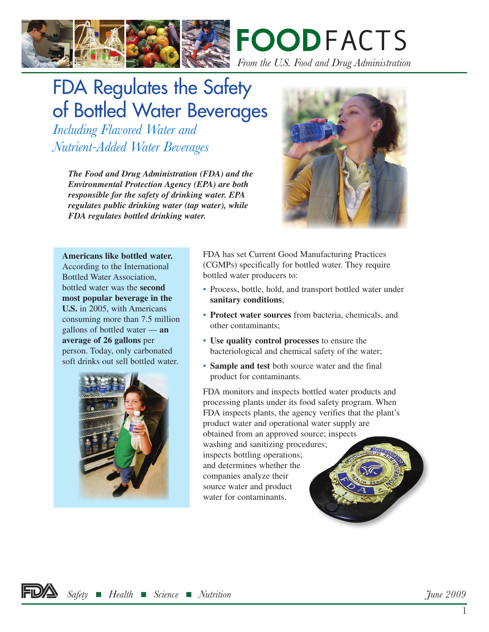



## FDA Regulates the Safety of Bottled Water Beverages

*Including Flavored Water and Nutrient-Added Water Beverages*

> *The Food and Drug Administration (FDA) and the Environmental Protection Agency (EPA) are both responsible for the safety of drinking water. EPA regulates public drinking water (tap water), while FDA regulates bottled drinking water.*



**Americans like bottled water.**  According to the International Bottled Water Association, bottled water was the **second most popular beverage in the U.S.** in 2005, with Americans consuming more than 7.5 million gallons of bottled water — **an average of 26 gallons** per person. Today, only carbonated soft drinks out sell bottled water.



FDA has set Current Good Manufacturing Practices (CGMPs) specifically for bottled water. They require bottled water producers to:

- Process, bottle, hold, and transport bottled water under **sanitary conditions**;
- **Protect water sources** from bacteria, chemicals, and other contaminants;
- **Use quality control processes** to ensure the bacteriological and chemical safety of the water;
- **Sample and test** both source water and the final product for contaminants.

FDA monitors and inspects bottled water products and processing plants under its food safety program. When FDA inspects plants, the agency verifies that the plant's product water and operational water supply are obtained from an approved source; inspects washing and sanitizing procedures; inspects bottling operations; and determines whether the companies analyze their source water and product water for contaminants.